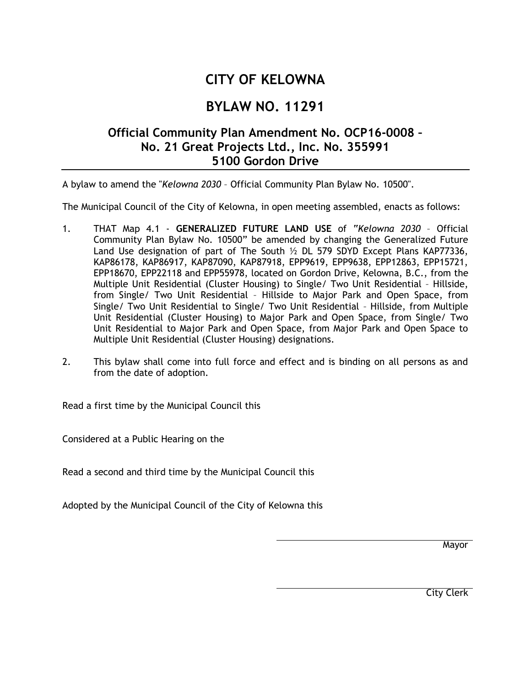## **CITY OF KELOWNA**

## **BYLAW NO. 11291**

## **Official Community Plan Amendment No. OCP16-0008 – No. 21 Great Projects Ltd., Inc. No. 355991 5100 Gordon Drive**

A bylaw to amend the "*Kelowna 2030* – Official Community Plan Bylaw No. 10500".

The Municipal Council of the City of Kelowna, in open meeting assembled, enacts as follows:

- 1. THAT Map 4.1 **GENERALIZED FUTURE LAND USE** of "*Kelowna 2030* Official Community Plan Bylaw No. 10500" be amended by changing the Generalized Future Land Use designation of part of The South ½ DL 579 SDYD Except Plans KAP77336, KAP86178, KAP86917, KAP87090, KAP87918, EPP9619, EPP9638, EPP12863, EPP15721, EPP18670, EPP22118 and EPP55978, located on Gordon Drive, Kelowna, B.C., from the Multiple Unit Residential (Cluster Housing) to Single/ Two Unit Residential – Hillside, from Single/ Two Unit Residential – Hillside to Major Park and Open Space, from Single/ Two Unit Residential to Single/ Two Unit Residential – Hillside, from Multiple Unit Residential (Cluster Housing) to Major Park and Open Space, from Single/ Two Unit Residential to Major Park and Open Space, from Major Park and Open Space to Multiple Unit Residential (Cluster Housing) designations.
- 2. This bylaw shall come into full force and effect and is binding on all persons as and from the date of adoption.

Read a first time by the Municipal Council this

Considered at a Public Hearing on the

Read a second and third time by the Municipal Council this

Adopted by the Municipal Council of the City of Kelowna this

**Mayor** 

City Clerk